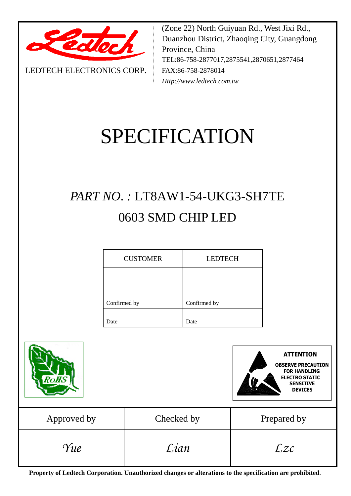

LEDTECH ELECTRONICS CORP**.**

(Zone 22) North Guiyuan Rd., West Jixi Rd., Duanzhou District, Zhaoqing City, Guangdong Province, China TEL:86-758-2877017,2875541,2870651,2877464 FAX:86-758-2878014 *Http://www.ledtech.com.tw*

# SPECIFICATION

# *PART NO. :* LT8AW1-54-UKG3-SH7TE 0603 SMD CHIP LED

| <b>CUSTOMER</b> | <b>LEDTECH</b> |  |  |  |  |
|-----------------|----------------|--|--|--|--|
|                 |                |  |  |  |  |
| Confirmed by    | Confirmed by   |  |  |  |  |
| Date            | Date           |  |  |  |  |





| Approved by | Checked by | Prepared by |
|-------------|------------|-------------|
| Yue         | Lian       | Lzc         |

**Property of Ledtech Corporation. Unauthorized changes or alterations to the specification are prohibited***.*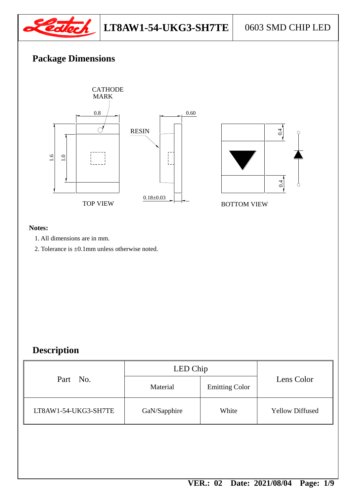

# **Package Dimensions**



#### **Notes:**

- 1. All dimensions are in mm.
- 2. Tolerance is ±0.1mm unless otherwise noted.

# **Description**

|                                      | LED Chip |                       |                        |  |
|--------------------------------------|----------|-----------------------|------------------------|--|
| Part No.                             | Material | <b>Emitting Color</b> | Lens Color             |  |
| LT8AW1-54-UKG3-SH7TE<br>GaN/Sapphire |          | White                 | <b>Yellow Diffused</b> |  |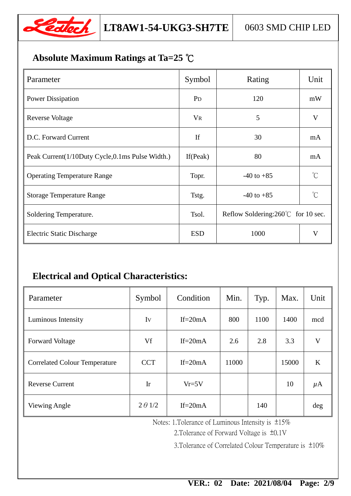

# **Absolute Maximum Ratings at Ta=25** ℃

| Parameter                                       | Symbol         | Rating                                      | Unit        |
|-------------------------------------------------|----------------|---------------------------------------------|-------------|
| <b>Power Dissipation</b>                        | P <sub>D</sub> | 120                                         | mW          |
| <b>Reverse Voltage</b>                          | $V_{R}$        | 5                                           | V           |
| D.C. Forward Current                            | If             | 30                                          | mA          |
| Peak Current(1/10Duty Cycle,0.1ms Pulse Width.) | If (Peak)      | 80                                          | mA          |
| <b>Operating Temperature Range</b>              | Topr.          | $-40$ to $+85$                              | $^{\circ}C$ |
| <b>Storage Temperature Range</b>                | Tstg.          | $-40$ to $+85$                              | $^{\circ}C$ |
| Soldering Temperature.                          | Tsol.          | Reflow Soldering: $260^{\circ}$ for 10 sec. |             |
| <b>Electric Static Discharge</b>                | <b>ESD</b>     | 1000                                        | V           |

# **Electrical and Optical Characteristics:**

| Parameter                            | Condition<br>Symbol    |            | Min.  | Typ. | Max.  | Unit    |
|--------------------------------------|------------------------|------------|-------|------|-------|---------|
| Luminous Intensity                   | Iv                     | If= $20mA$ |       | 1100 | 1400  | mcd     |
| <b>Forward Voltage</b>               | Vf                     | If= $20mA$ |       | 2.8  | 3.3   | V       |
| <b>Correlated Colour Temperature</b> | <b>CCT</b>             | If= $20mA$ | 11000 |      | 15000 | K       |
| <b>Reverse Current</b>               | $\mathop{\mathrm{Ir}}$ | $Vr=5V$    |       |      | 10    | $\mu$ A |
| Viewing Angle                        | $2 \theta$ 1/2         | If= $20mA$ |       | 140  |       | deg     |

Notes: 1.Tolerance of Luminous Intensity is ±15%

2.Tolerance of Forward Voltage is ±0.1V

3.Tolerance of Correlated Colour Temperature is ±10%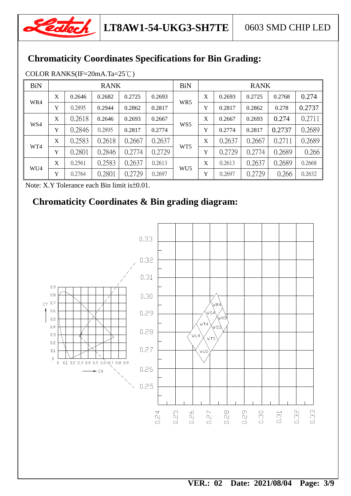

# **Chromaticity Coordinates Specifications for Bin Grading:**

| <b>BiN</b> | <b>RANK</b> |        |        | <b>BiN</b> | <b>RANK</b> |                 |   |        |        |        |        |
|------------|-------------|--------|--------|------------|-------------|-----------------|---|--------|--------|--------|--------|
|            |             |        |        |            |             |                 |   |        |        |        |        |
| WR4        | X           | 0.2646 | 0.2682 | 0.2725     | 0.2693      | WR <sub>5</sub> | X | 0.2693 | 0.2725 | 0.2768 | 0.274  |
|            | Y           | 0.2895 | 0.2944 | 0.2862     | 0.2817      |                 | Y | 0.2817 | 0.2862 | 0.278  | 0.2737 |
| WS4        | X           | 0.2618 | 0.2646 | 0.2693     | 0.2667      | WS <sub>5</sub> | X | 0.2667 | 0.2693 | 0.274  | 0.2711 |
|            | Y           | 0.2846 | 0.2895 | 0.2817     | 0.2774      |                 | Y | 0.2774 | 0.2817 | 0.2737 | 0.2689 |
| WT4        | X           | 0.2583 | 0.2618 | 0.2667     | 0.2637      | WT <sub>5</sub> | X | 0.2637 | 0.2667 | 0.2711 | 0.2689 |
|            | Y           | 0.2801 | 0.2846 | 0.2774     | 0.2729      |                 | Y | 0.2729 | 0.2774 | 0.2689 | 0.266  |
| WU4        | X           | 0.2561 | 0.2583 | 0.2637     | 0.2613      | WU <sub>5</sub> | X | 0.2613 | 0.2637 | 0.2689 | 0.2668 |
|            | Y           | 0.2764 | 0.2801 | 0.2729     | 0.2697      |                 | Y | 0.2697 | 0.2729 | 0.266  | 0.2632 |

COLOR RANKS(IF=20mA.Ta=25℃)

Note: X.Y Tolerance each Bin limit is±0.01.

# **Chromaticity Coordinates & Bin grading diagram:**

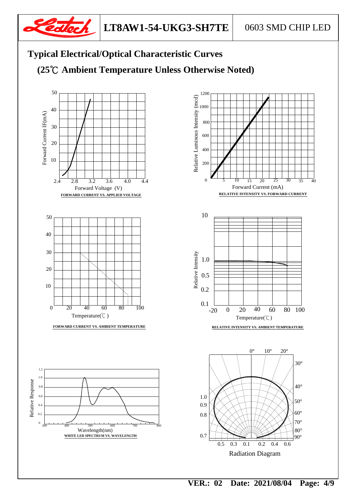

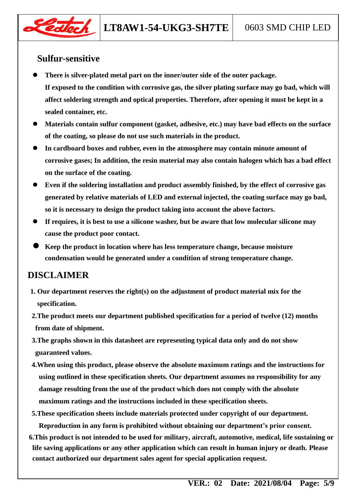

### **Sulfur-sensitive**

- **There is silver-plated metal part on the inner/outer side of the outer package. If exposed to the condition with corrosive gas, the silver plating surface may go bad, which will affect soldering strength and optical properties. Therefore, after opening it must be kept in a sealed container, etc.**
- **Materials contain sulfur component (gasket, adhesive, etc.) may have bad effects on the surface of the coating, so please do not use such materials in the product.**
- **In cardboard boxes and rubber, even in the atmosphere may contain minute amount of corrosive gases; In addition, the resin material may also contain halogen which has a bad effect on the surface of the coating.**
- **Even if the soldering installation and product assembly finished, by the effect of corrosive gas generated by relative materials of LED and external injected, the coating surface may go bad, so it is necessary to design the product taking into account the above factors.**
- **If requires, it is best to use a silicone washer, but be aware that low molecular silicone may cause the product poor contact.**
- **Keep the product in location where has less temperature change, because moisture condensation would be generated under a condition of strong temperature change.**

### **DISCLAIMER**

- **1. Our department reserves the right(s) on the adjustment of product material mix for the specification.**
- **2.The product meets our department published specification for a period of twelve (12) months from date of shipment.**
- **3.The graphs shown in this datasheet are representing typical data only and do not show guaranteed values.**
- **4.When using this product, please observe the absolute maximum ratings and the instructions for using outlined in these specification sheets. Our department assumes no responsibility for any damage resulting from the use of the product which does not comply with the absolute maximum ratings and the instructions included in these specification sheets.**
- **5.These specification sheets include materials protected under copyright of our department.**

**Reproduction in any form is prohibited without obtaining our department's prior consent.**

**6.This product is not intended to be used for military, aircraft, automotive, medical, life sustaining or life saving applications or any other application which can result in human injury or death. Please contact authorized our department sales agent for special application request.**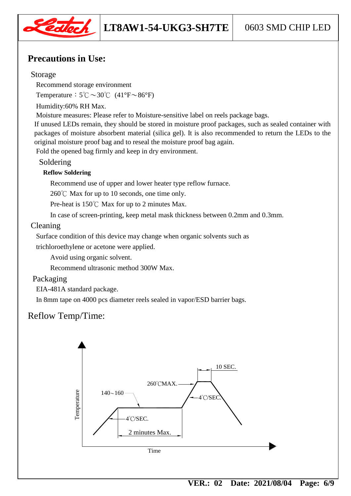

## **Precautions in Use:**

#### Storage

Recommend storage environment

Temperature:  $5^{\circ}\text{C} \sim 30^{\circ}\text{C}$  (41°F $\sim$ 86°F)

Humidity:60% RH Max.

Moisture measures: Please refer to Moisture-sensitive label on reels package bags.

If unused LEDs remain, they should be stored in moisture proof packages, such as sealed container with packages of moisture absorbent material (silica gel). It is also recommended to return the LEDs to the original moisture proof bag and to reseal the moisture proof bag again.

Fold the opened bag firmly and keep in dry environment.

#### Soldering

#### **Reflow Soldering**

Recommend use of upper and lower heater type reflow furnace.

260℃ Max for up to 10 seconds, one time only.

Pre-heat is 150℃ Max for up to 2 minutes Max.

In case of screen-printing, keep metal mask thickness between 0.2mm and 0.3mm.

#### Cleaning

Surface condition of this device may change when organic solvents such as

trichloroethylene or acetone were applied.

Avoid using organic solvent.

Recommend ultrasonic method 300W Max.

#### Packaging

EIA-481A standard package.

In 8mm tape on 4000 pcs diameter reels sealed in vapor/ESD barrier bags.

# Reflow Temp/Time:

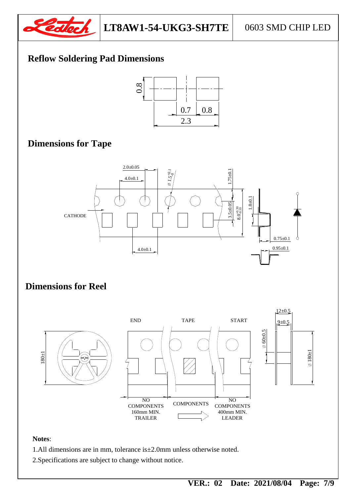

# **Reflow Soldering Pad Dimensions**



#### **Dimensions for Tape Dimensions for Tape**



#### $\overline{\mathbf{D}}$  **D Dimensions for Reel**



#### **Notes**:

- 1.All dimensions are in mm, tolerance is±2.0mm unless otherwise noted.
- 2.Specifications are subject to change without notice.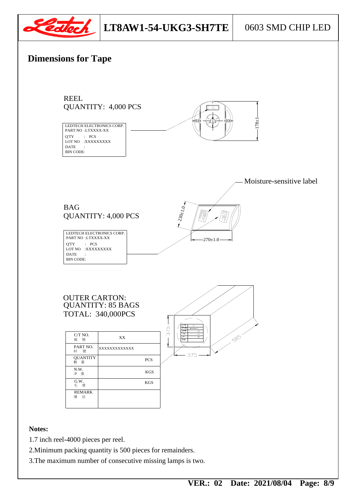

# **LT8AW1-54-UKG3-SH7TE** 0603 SMD CHIP LED